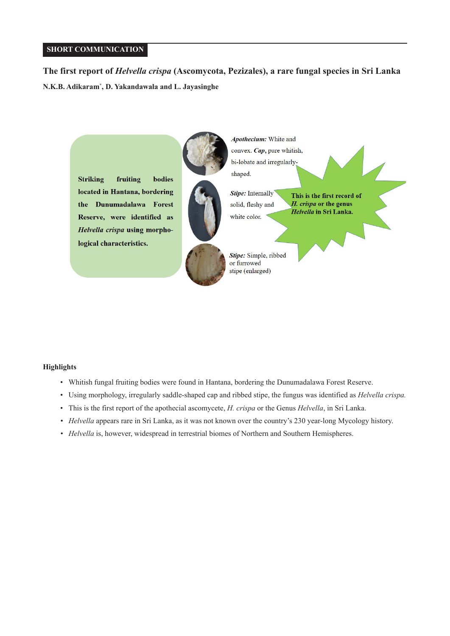# **SHORT COMMUNICATION**

**The first report of** *Helvella crispa* **(Ascomycota, Pezizales), a rare fungal species in Sri Lanka N.K.B. Adikaram\* , D. Yakandawala and L. Jayasinghe**



### **Highlights**

- Whitish fungal fruiting bodies were found in Hantana, bordering the Dunumadalawa Forest Reserve.
- Using morphology, irregularly saddle-shaped cap and ribbed stipe, the fungus was identified as *Helvella crispa.*
- This is the first report of the apothecial ascomycete, *H. crispa* or the Genus *Helvella*, in Sri Lanka.
- *Helvella* appears rare in Sri Lanka, as it was not known over the country's 230 year-long Mycology history.
- *Helvella* is, however, widespread in terrestrial biomes of Northern and Southern Hemispheres.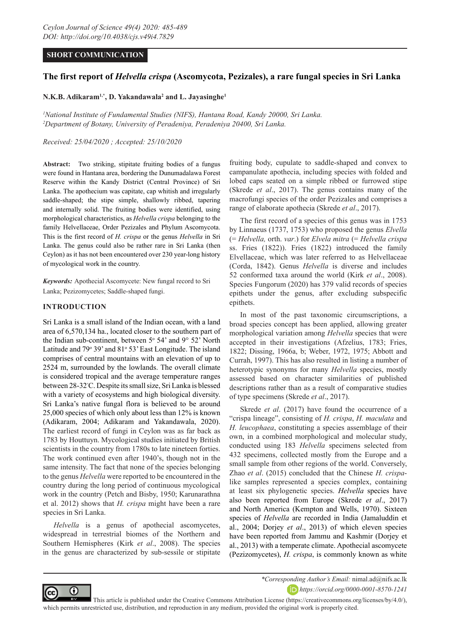## **SHORT COMMUNICATION**

# **The first report of** *Helvella crispa* **(Ascomycota, Pezizales), a rare fungal species in Sri Lanka**

## **N.K.B. Adikaram1,\*, D. Yakandawala2 and L. Jayasinghe1**

*1 National Institute of Fundamental Studies (NIFS), Hantana Road, Kandy 20000, Sri Lanka. 2 Department of Botany, University of Peradeniya, Peradeniya 20400, Sri Lanka.*

*Received: 25/04/2020 ; Accepted: 25/10/2020*

**Abstract:** Two striking, stipitate fruiting bodies of a fungus were found in Hantana area, bordering the Dunumadalawa Forest Reserve within the Kandy District (Central Province) of Sri Lanka. The apothecium was capitate, cap whitish and irregularly saddle-shaped; the stipe simple, shallowly ribbed, tapering and internally solid. The fruiting bodies were identified, using morphological characteristics, as *Helvella crispa* belonging to the family Helvellaceae, Order Pezizales and Phylum Ascomycota. This is the first record of *H. crispa* or the genus *Helvella* in Sri Lanka. The genus could also be rather rare in Sri Lanka (then Ceylon) as it has not been encountered over 230 year-long history of mycological work in the country.

*Keywords:* Apothecial Ascomycete: New fungal record to Sri Lanka; Pezizomycetes; Saddle-shaped fungi.

#### **INTRODUCTION**

Sri Lanka is a small island of the Indian ocean, with a land area of 6,570,134 ha., located closer to the southern part of the Indian sub-continent, between  $5^{\circ}$  54' and  $9^{\circ}$  52' North Latitude and 79° 39' and 81° 53' East Longitude. The island comprises of central mountains with an elevation of up to 2524 m, surrounded by the lowlands. The overall climate is considered tropical and the average temperature ranges between 28-32°C. Despite its small size, Sri Lanka is blessed with a variety of ecosystems and high biological diversity. Sri Lanka's native fungal flora is believed to be around 25,000 species of which only about less than 12% is known (Adikaram, 2004; Adikaram and Yakandawala, 2020). The earliest record of fungi in Ceylon was as far back as 1783 by Houttuyn. Mycological studies initiated by British scientists in the country from 1780s to late nineteen forties. The work continued even after 1940's, though not in the same intensity. The fact that none of the species belonging to the genus *Helvella* were reported to be encountered in the country during the long period of continuous mycological work in the country (Petch and Bisby, 1950; Karunarathna et al. 2012) shows that *H. crispa* might have been a rare species in Sri Lanka.

*Helvella* is a genus of apothecial ascomycetes, widespread in terrestrial biomes of the Northern and Southern Hemispheres (Kirk *et al*., 2008). The species in the genus are characterized by sub-sessile or stipitate fruiting body, cupulate to saddle-shaped and convex to campanulate apothecia, including species with folded and lobed caps seated on a simple ribbed or furrowed stipe (Skrede *et al*., 2017). The genus contains many of the macrofungi species of the order Pezizales and comprises a range of elaborate apothecia (Skrede *et al*., 2017).

The first record of a species of this genus was in 1753 by Linnaeus (1737, 1753) who proposed the genus *Elvella*  (= *Helvella,* orth. *var*.) for *Elvela mitra* (= *Helvella crispa* ss. Fries (1822)). Fries (1822) introduced the family Elvellaceae, which was later referred to as Helvellaceae (Corda, 1842). Genus *Helvella* is diverse and includes 52 conformed taxa around the world (Kirk *et al*., 2008). Species Fungorum (2020) has 379 valid records of species epithets under the genus, after excluding subspecific epithets.

In most of the past taxonomic circumscriptions, a broad species concept has been applied, allowing greater morphological variation among *Helvella* species that were accepted in their investigations (Afzelius, 1783; Fries, 1822; Dissing, 1966a, b; Weber, 1972, 1975; Abbott and Currah, 1997). This has also resulted in listing a number of heterotypic synonyms for many *Helvella* species, mostly assessed based on character similarities of published descriptions rather than as a result of comparative studies of type specimens (Skrede *et al*., 2017).

Skrede *et al*. (2017) have found the occurrence of a "crispa lineage", consisting of *H. crispa*, *H. maculata* and *H. leucophaea*, constituting a species assemblage of their own, in a combined morphological and molecular study, conducted using 183 *Helvella* specimens selected from 432 specimens, collected mostly from the Europe and a small sample from other regions of the world. Conversely, Zhao *et al*. (2015) concluded that the Chinese *H. crispa*like samples represented a species complex, containing at least six phylogenetic species. *Helvella* species have also been reported from Europe (Skrede *et al*., 2017) and North America (Kempton and Wells, 1970). Sixteen species of *Helvella* are recorded in India (Jamaluddin et al., 2004; Dorjey *et al*., 2013) of which eleven species have been reported from Jammu and Kashmir (Dorjey et al., 2013) with a temperate climate. Apothecial ascomycete (Pezizomycetes), *H. crispa*, is commonly known as white



 This article is published under the Creative Commons Attribution License (https://creativecommons.org/licenses/by/4.0/), which permits unrestricted use, distribution, and reproduction in any medium, provided the original work is properly cited.

*<sup>\*</sup>Corresponding Author's Email:* nimal.ad@nifs.ac.lk

*https://orcid.org/0000-0001-8570-1241*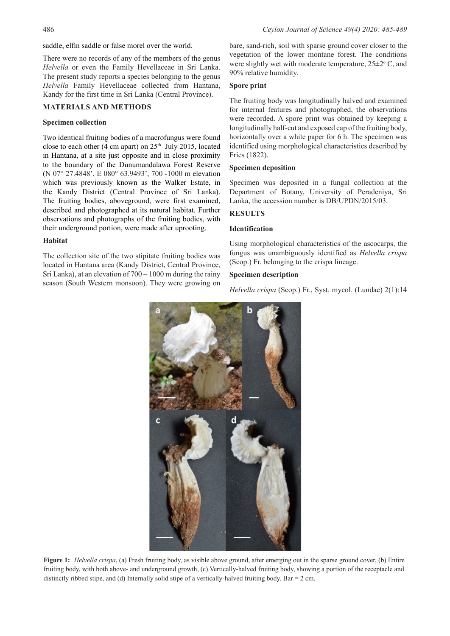saddle, elfin saddle or false morel over the world.

There were no records of any of the members of the genus *Helvella* or even the Family Hevellaceae in Sri Lanka. The present study reports a species belonging to the genus *Helvella* Family Hevellaceae collected from Hantana, Kandy for the first time in Sri Lanka (Central Province).

## **MATERIALS AND METHODS**

#### **Specimen collection**

Two identical fruiting bodies of a macrofungus were found close to each other (4 cm apart) on  $25<sup>th</sup>$  July 2015, located in Hantana, at a site just opposite and in close proximity to the boundary of the Dunumandalawa Forest Reserve (N 07° 27.4848', E 080° 63.9493', 700 -1000 m elevation which was previously known as the Walker Estate, in the Kandy District (Central Province of Sri Lanka). The fruiting bodies, aboveground, were first examined, described and photographed at its natural habitat. Further observations and photographs of the fruiting bodies, with their underground portion, were made after uprooting.

#### **Habitat**

The collection site of the two stipitate fruiting bodies was located in Hantana area (Kandy District, Central Province, Sri Lanka), at an elevation of  $700 - 1000$  m during the rainy season (South Western monsoon). They were growing on bare, sand-rich, soil with sparse ground cover closer to the vegetation of the lower montane forest. The conditions were slightly wet with moderate temperature,  $25 \pm 2^{\circ}$  C, and 90% relative humidity.

### **Spore print**

The fruiting body was longitudinally halved and examined for internal features and photographed, the observations were recorded. A spore print was obtained by keeping a longitudinally half-cut and exposed cap of the fruiting body, horizontally over a white paper for 6 h. The specimen was identified using morphological characteristics described by Fries (1822).

#### **Specimen deposition**

Specimen was deposited in a fungal collection at the Department of Botany, University of Peradeniya, Sri Lanka, the accession number is DB/UPDN/2015/03.

## **RESULTS**

#### **Identification**

Using morphological characteristics of the ascocarps, the fungus was unambiguously identified as *Helvella crispa*  (Scop.) Fr. belonging to the crispa lineage.

### **Specimen description**

*Helvella crispa* (Scop.) Fr., Syst. mycol. (Lundae) 2(1):14



**Figure 1:** *Helvella crispa*, (a) Fresh fruiting body, as visible above ground, after emerging out in the sparse ground cover, (b) Entire fruiting body, with both above- and underground growth, (c) Vertically-halved fruiting body, showing a portion of the receptacle and distinctly ribbed stipe, and (d) Internally solid stipe of a vertically-halved fruiting body. Bar = 2 cm.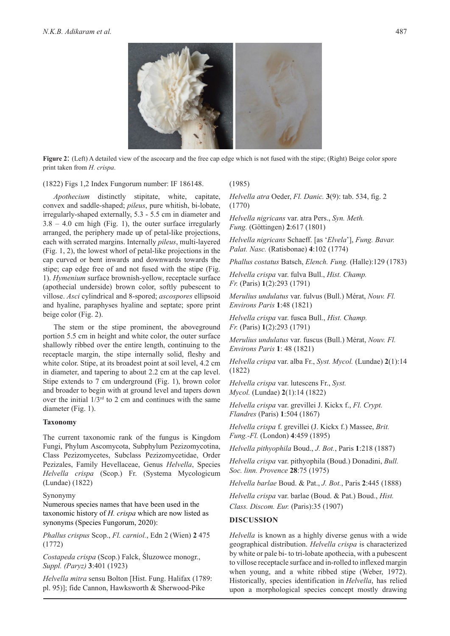

**Figure 2**: (Left) A detailed view of the ascocarp and the free cap edge which is not fused with the stipe; (Right) Beige color spore print taken from *H. crispa*.

#### (1822) Figs 1,2 Index Fungorum number: IF 186148.

*Apothecium* distinctly stipitate, white, capitate, convex and saddle-shaped; *pileus*, pure whitish, bi-lobate, irregularly-shaped externally, 5.3 - 5.5 cm in diameter and  $3.8 - 4.0$  cm high (Fig. 1), the outer surface irregularly arranged, the periphery made up of petal-like projections, each with serrated margins. Internally *pileus*, multi-layered (Fig. 1, 2), the lowest whorl of petal-like projections in the cap curved or bent inwards and downwards towards the stipe; cap edge free of and not fused with the stipe (Fig. 1). *Hymenium* surface brownish-yellow, receptacle surface (apothecial underside) brown color, softly pubescent to villose. *Asci* cylindrical and 8-spored; *ascospores* ellipsoid and hyaline, paraphyses hyaline and septate; spore print beige color (Fig. 2).

The stem or the stipe prominent, the aboveground portion 5.5 cm in height and white color, the outer surface shallowly ribbed over the entire length, continuing to the receptacle margin, the stipe internally solid, fleshy and white color. Stipe, at its broadest point at soil level, 4.2 cm in diameter, and tapering to about 2.2 cm at the cap level. Stipe extends to 7 cm underground (Fig. 1), brown color and broader to begin with at ground level and tapers down over the initial  $1/3<sup>rd</sup>$  to 2 cm and continues with the same diameter (Fig. 1).

#### **Taxonomy**

The current taxonomic rank of the fungus is Kingdom Fungi, Phylum Ascomycota, Subphylum Pezizomycotina, Class Pezizomycetes, Subclass Pezizomycetidae, Order Pezizales, Family Hevellaceae, Genus *Helvella*, Species *Helvella crispa* (Scop.) Fr. (Systema Mycologicum (Lundae) (1822)

#### Synonymy

Numerous species names that have been used in the taxonomic history of *H. crispa* which are now listed as synonyms (Species Fungorum, 2020):

*Phallus crispus* Scop., *Fl. carniol.*, Edn 2 (Wien) **2** 475 (1772)

*Costapeda crispa* (Scop.) Falck, Śluzowce monogr., *Suppl. (Paryz)* **3**:401 (1923)

*Helvella mitra* sensu Bolton [Hist. Fung. Halifax (1789: pl. 95)]; fide Cannon, Hawksworth & Sherwood-Pike

### (1985)

*Helvella atra* Oeder, *Fl. Danic.* **3**(9): tab. 534, fig. 2 (1770)

*Helvella nigricans* var. atra Pers., *Syn. Meth. Fung.* (Göttingen) **2**:617 (1801)

*Helvella nigricans* Schaeff. [as '*Elvela*'], *Fung. Bavar. Palat. Nasc.* (Ratisbonae) **4**:102 (1774)

*Phallus costatus* Batsch, *Elench. Fung.* (Halle):129 (1783)

*Helvella crispa* var. fulva Bull., *Hist. Champ. Fr.* (Paris) **1**(2):293 (1791)

*Merulius undulatus* var. fulvus (Bull.) Mérat, *Nouv. Fl. Environs Paris* **1**:48 (1821)

*Helvella crispa* var. fusca Bull., *Hist. Champ. Fr.* (Paris) **1**(2):293 (1791)

*Merulius undulatus* var. fuscus (Bull.) Mérat, *Nouv. Fl. Environs Paris* **1**: 48 (1821)

*Helvella crispa* var. alba Fr., *Syst. Mycol.* (Lundae) **2**(1):14 (1822)

*Helvella crispa* var. lutescens Fr., *Syst. Mycol.* (Lundae) **2**(1):14 (1822)

*Helvella crispa* var. grevillei J. Kickx f., *Fl. Crypt. Flandres* (Paris) **1**:504 (1867)

*Helvella crispa* f. grevillei (J. Kickx f.) Massee, *Brit. Fung.-Fl.* (London) **4**:459 (1895)

*Helvella pithyophila* Boud., *J. Bot.*, Paris **1**:218 (1887)

*Helvella crispa* var. pithyophila (Boud.) Donadini, *Bull. Soc. linn. Provence* **28**:75 (1975)

*Helvella barlae* Boud. & Pat., *J. Bot.*, Paris **2**:445 (1888)

*Helvella crispa* var. barlae (Boud. & Pat.) Boud., *Hist. Class. Discom. Eur.* (Paris):35 (1907)

### **DISCUSSION**

*Helvella* is known as a highly diverse genus with a wide geographical distribution. *Helvella crispa* is characterized by white or pale bi- to tri-lobate apothecia, with a pubescent to villose receptacle surface and in-rolled to inflexed margin when young, and a white ribbed stipe (Weber, 1972). Historically, species identification in *Helvella*, has relied upon a morphological species concept mostly drawing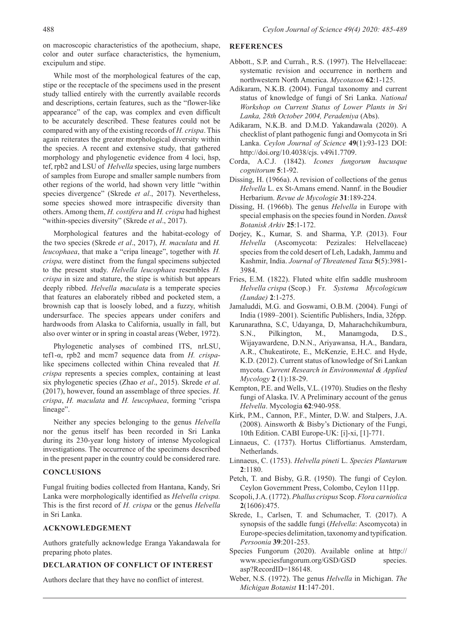on macroscopic characteristics of the apothecium, shape, color and outer surface characteristics, the hymenium, excipulum and stipe.

While most of the morphological features of the cap, stipe or the receptacle of the specimens used in the present study tallied entirely with the currently available records and descriptions, certain features, such as the "flower-like appearance" of the cap, was complex and even difficult to be accurately described. These features could not be compared with any of the existing records of *H. crispa*. This again reiterates the greater morphological diversity within the species. A recent and extensive study, that gathered morphology and phylogenetic evidence from 4 loci, hsp, tef, rpb2 and LSU of *Helvella* species, using large numbers of samples from Europe and smaller sample numbers from other regions of the world, had shown very little "within species divergence" (Skrede *et al*., 2017). Nevertheless, some species showed more intraspecific diversity than others. Among them, *H. costifera* and *H. crispa* had highest "within-species diversity" (Skrede *et al*., 2017).

Morphological features and the habitat-ecology of the two species (Skrede *et al*., 2017), *H. maculata* and *H. leucophaea*, that make a "cripa lineage", together with *H. crispa,* were distinct from the fungal specimens subjected to the present study. *Helvella leucophaea* resembles *H. crispa* in size and stature, the stipe is whitish but appears deeply ribbed. *Helvella maculata* is a temperate species that features an elaborately ribbed and pocketed stem, a brownish cap that is loosely lobed, and a fuzzy, whitish undersurface. The species appears under conifers and hardwoods from Alaska to California, usually in fall, but also over winter or in spring in coastal areas (Weber, 1972).

Phylogenetic analyses of combined ITS, nrLSU, tef1-α, rpb2 and mcm7 sequence data from *H. crispa*like specimens collected within China revealed that *H. crispa* represents a species complex, containing at least six phylogenetic species (Zhao *et al*., 2015). Skrede *et al*. (2017), however, found an assemblage of three species. *H. crispa*, *H. maculata* and *H. leucophaea*, forming "crispa lineage".

Neither any species belonging to the genus *Helvella* nor the genus itself has been recorded in Sri Lanka during its 230-year long history of intense Mycological investigations. The occurrence of the specimens described in the present paper in the country could be considered rare.

#### **CONCLUSIONS**

Fungal fruiting bodies collected from Hantana, Kandy, Sri Lanka were morphologically identified as *Helvella crispa.*  This is the first record of *H. crispa* or the genus *Helvella*  in Sri Lanka.

### **ACKNOWLEDGEMENT**

Authors gratefully acknowledge Eranga Yakandawala for preparing photo plates.

# **DECLARATION OF CONFLICT OF INTEREST**

Authors declare that they have no conflict of interest.

## **REFERENCES**

- Abbott., S.P. and Currah., R.S. (1997). The Helvellaceae: systematic revision and occurrence in northern and northwestern North America. *Mycotaxon* **62**:1-125.
- Adikaram, N.K.B. (2004). Fungal taxonomy and current status of knowledge of fungi of Sri Lanka. *National Workshop on Current Status of Lower Plants in Sri Lanka, 28th October 2004, Peradeniya* (Abs).
- Adikaram, N.K.B. and D.M.D. Yakandawala (2020). A checklist of plant pathogenic fungi and Oomycota in Sri Lanka. *Ceylon Journal of Science* **49**(1):93-123 DOI: http://doi.org/10.4038/cjs. v49i1.7709.
- Corda, A.C.J. (1842). *Icones fungorum hucusque cognitorum* **5**:1-92.
- Dissing, H. (1966a). A revision of collections of the genus *Helvella* L. ex St-Amans emend. Nannf. in the Boudier Herbarium. *Revue de Mycologie* **31**:189-224.
- Dissing, H. (1966b). The genus *Helvella* in Europe with special emphasis on the species found in Norden. *Dansk Botanisk Arkiv* **25**:1-172.
- Dorjey, K., Kumar, S. and Sharma, Y.P. (2013). Four *Helvella* (Ascomycota: Pezizales: Helvellaceae) species from the cold desert of Leh, Ladakh, Jammu and Kashmir, India. *Journal of Threatened Taxa* **5**(5):3981- 3984.
- Fries, E.M. (1822). Fluted white elfin saddle mushroom *Helvella crispa* (Scop.) Fr. *Systema Mycologicum (Lundae)* **2**:1-275.
- Jamaluddi, M.G. and Goswami, O.B.M. (2004). Fungi of India (1989–2001). Scientific Publishers, India, 326pp.
- Karunarathna, S.C, Udayanga, D, Maharachchikumbura, S.N., Pilkington, M., Manamgoda, D.S., Wijayawardene, D.N.N., Ariyawansa, H.A., Bandara, A.R., Chukeatirote, E., McKenzie, E.H.C. and Hyde, K.D. (2012). Current status of knowledge of Sri Lankan mycota. *Current Research in Environmental & Applied Mycology* **2** (1):18-29.
- Kempton, P.E. and Wells, V.L. (1970). Studies on the fleshy fungi of Alaska. IV. A Preliminary account of the genus *Helvella*. Mycologia **62**:940-958.
- Kirk, P.M., Cannon, P.F., Minter, D.W. and Stalpers, J.A. (2008). Ainsworth & Bisby's Dictionary of the Fungi, 10th Edition. CABI Europe-UK: [i]-xi, [1]-771.
- Linnaeus, C. (1737). Hortus Cliffortianus. Amsterdam, Netherlands.
- Linnaeus, C. (1753). *Helvella pineti* L. *Species Plantarum* **2**:1180.
- Petch, T. and Bisby, G.R. (1950). The fungi of Ceylon. Ceylon Government Press, Colombo, Ceylon 111pp.
- Scopoli, J.A. (1772). *Phallus crispus* Scop. *Flora carniolica* **2**(1606):475.
- Skrede, I., Carlsen, T. and Schumacher, T. (2017). A synopsis of the saddle fungi (*Helvella*: Ascomycota) in Europe-species delimitation, taxonomy and typification. *Persoonia* **39**:201-253.
- Species Fungorum (2020). Available online at http:// www.speciesfungorum.org/GSD/GSD species. asp?RecordID=186148.
- Weber, N.S. (1972). The genus *Helvella* in Michigan. *The Michigan Botanist* **11**:147-201.